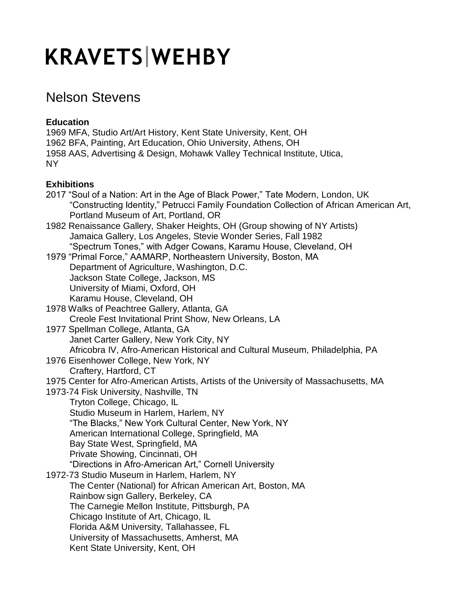## **KRAVETS WEHBY**

## Nelson Stevens

## **Education**

1969 MFA, Studio Art/Art History, Kent State University, Kent, OH 1962 BFA, Painting, Art Education, Ohio University, Athens, OH 1958 AAS, Advertising & Design, Mohawk Valley Technical Institute, Utica, NY

## **Exhibitions**

| 2017 "Soul of a Nation: Art in the Age of Black Power," Tate Modern, London, UK         |
|-----------------------------------------------------------------------------------------|
| "Constructing Identity," Petrucci Family Foundation Collection of African American Art, |
| Portland Museum of Art, Portland, OR                                                    |
| 1982 Renaissance Gallery, Shaker Heights, OH (Group showing of NY Artists)              |
| Jamaica Gallery, Los Angeles, Stevie Wonder Series, Fall 1982                           |
| "Spectrum Tones," with Adger Cowans, Karamu House, Cleveland, OH                        |
| 1979 "Primal Force," AAMARP, Northeastern University, Boston, MA                        |
| Department of Agriculture, Washington, D.C.                                             |
| Jackson State College, Jackson, MS                                                      |
| University of Miami, Oxford, OH                                                         |
| Karamu House, Cleveland, OH                                                             |
| 1978 Walks of Peachtree Gallery, Atlanta, GA                                            |
| Creole Fest Invitational Print Show, New Orleans, LA                                    |
| 1977 Spellman College, Atlanta, GA                                                      |
| Janet Carter Gallery, New York City, NY                                                 |
| Africobra IV, Afro-American Historical and Cultural Museum, Philadelphia, PA            |
| 1976 Eisenhower College, New York, NY                                                   |
| Craftery, Hartford, CT                                                                  |
| 1975 Center for Afro-American Artists, Artists of the University of Massachusetts, MA   |
| 1973-74 Fisk University, Nashville, TN                                                  |
| Tryton College, Chicago, IL                                                             |
| Studio Museum in Harlem, Harlem, NY                                                     |
| "The Blacks," New York Cultural Center, New York, NY                                    |
| American International College, Springfield, MA                                         |
| Bay State West, Springfield, MA                                                         |
| Private Showing, Cincinnati, OH                                                         |
| "Directions in Afro-American Art," Cornell University                                   |
| 1972-73 Studio Museum in Harlem, Harlem, NY                                             |
| The Center (National) for African American Art, Boston, MA                              |
| Rainbow sign Gallery, Berkeley, CA                                                      |
| The Carnegie Mellon Institute, Pittsburgh, PA                                           |
| Chicago Institute of Art, Chicago, IL                                                   |
| Florida A&M University, Tallahassee, FL                                                 |
| University of Massachusetts, Amherst, MA                                                |
| Kent State University, Kent, OH                                                         |